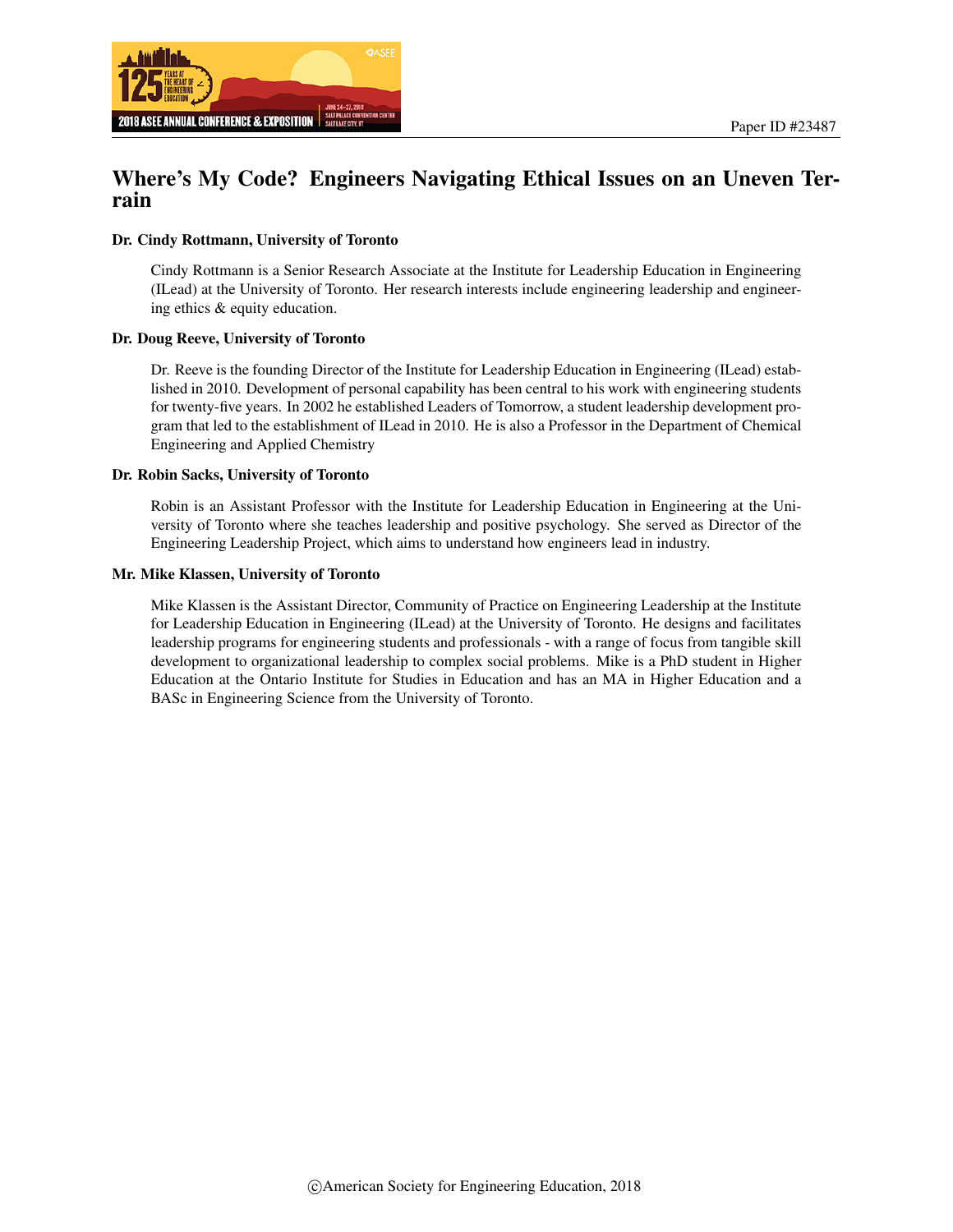



# Where's My Code? Engineers Navigating Ethical Issues on an Uneven Terrain

#### Dr. Cindy Rottmann, University of Toronto

Cindy Rottmann is a Senior Research Associate at the Institute for Leadership Education in Engineering (ILead) at the University of Toronto. Her research interests include engineering leadership and engineering ethics & equity education.

#### Dr. Doug Reeve, University of Toronto

Dr. Reeve is the founding Director of the Institute for Leadership Education in Engineering (ILead) established in 2010. Development of personal capability has been central to his work with engineering students for twenty-five years. In 2002 he established Leaders of Tomorrow, a student leadership development program that led to the establishment of ILead in 2010. He is also a Professor in the Department of Chemical Engineering and Applied Chemistry

#### Dr. Robin Sacks, University of Toronto

Robin is an Assistant Professor with the Institute for Leadership Education in Engineering at the University of Toronto where she teaches leadership and positive psychology. She served as Director of the Engineering Leadership Project, which aims to understand how engineers lead in industry.

#### Mr. Mike Klassen, University of Toronto

Mike Klassen is the Assistant Director, Community of Practice on Engineering Leadership at the Institute for Leadership Education in Engineering (ILead) at the University of Toronto. He designs and facilitates leadership programs for engineering students and professionals - with a range of focus from tangible skill development to organizational leadership to complex social problems. Mike is a PhD student in Higher Education at the Ontario Institute for Studies in Education and has an MA in Higher Education and a BASc in Engineering Science from the University of Toronto.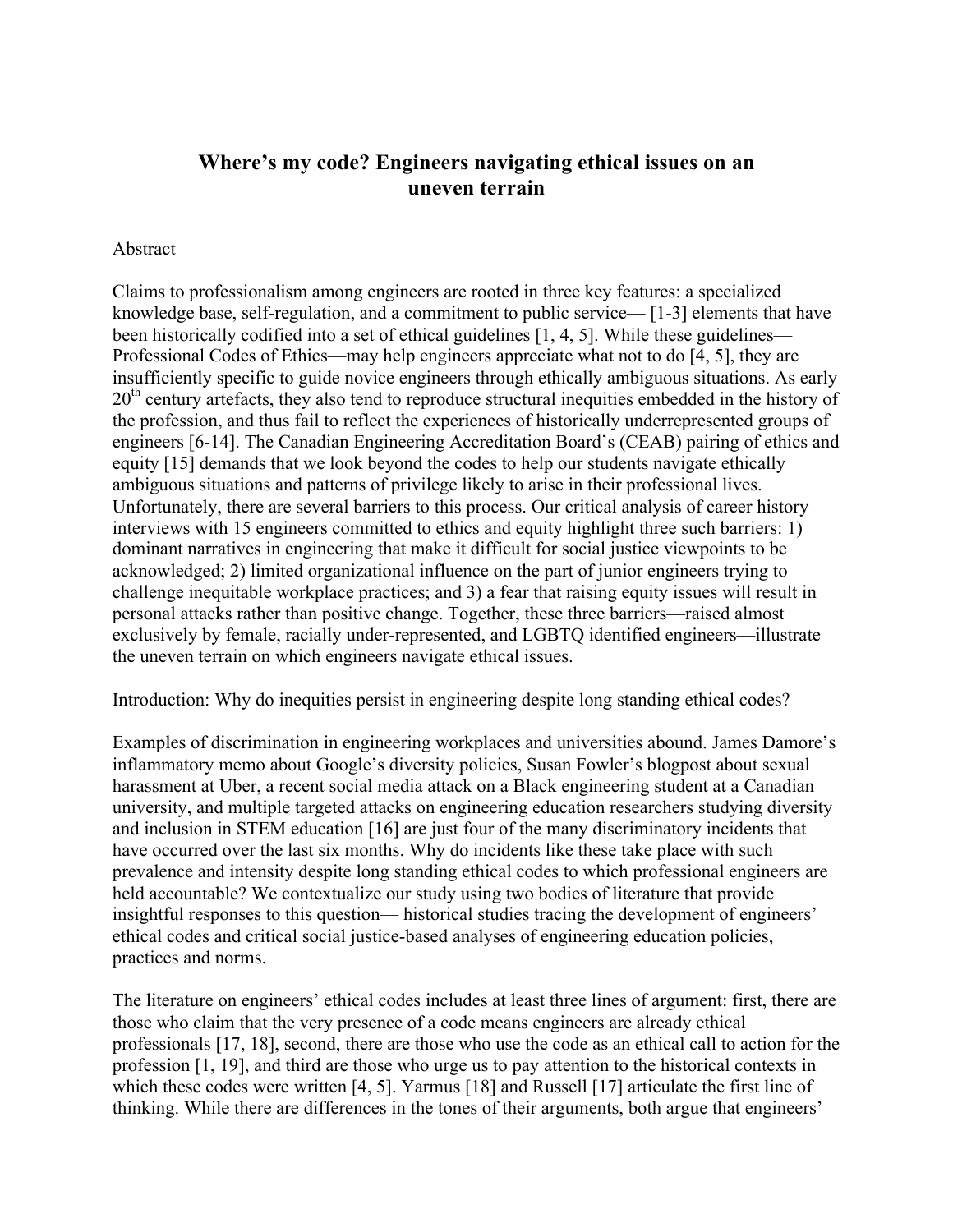## **Where's my code? Engineers navigating ethical issues on an uneven terrain**

### Abstract

Claims to professionalism among engineers are rooted in three key features: a specialized knowledge base, self-regulation, and a commitment to public service— [1-3] elements that have been historically codified into a set of ethical guidelines [1, 4, 5]. While these guidelines— Professional Codes of Ethics—may help engineers appreciate what not to do [4, 5], they are insufficiently specific to guide novice engineers through ethically ambiguous situations. As early 20<sup>th</sup> century artefacts, they also tend to reproduce structural inequities embedded in the history of the profession, and thus fail to reflect the experiences of historically underrepresented groups of engineers [6-14]. The Canadian Engineering Accreditation Board's (CEAB) pairing of ethics and equity [15] demands that we look beyond the codes to help our students navigate ethically ambiguous situations and patterns of privilege likely to arise in their professional lives. Unfortunately, there are several barriers to this process. Our critical analysis of career history interviews with 15 engineers committed to ethics and equity highlight three such barriers: 1) dominant narratives in engineering that make it difficult for social justice viewpoints to be acknowledged; 2) limited organizational influence on the part of junior engineers trying to challenge inequitable workplace practices; and 3) a fear that raising equity issues will result in personal attacks rather than positive change. Together, these three barriers—raised almost exclusively by female, racially under-represented, and LGBTQ identified engineers—illustrate the uneven terrain on which engineers navigate ethical issues.

Introduction: Why do inequities persist in engineering despite long standing ethical codes?

Examples of discrimination in engineering workplaces and universities abound. James Damore's inflammatory memo about Google's diversity policies, Susan Fowler's blogpost about sexual harassment at Uber, a recent social media attack on a Black engineering student at a Canadian university, and multiple targeted attacks on engineering education researchers studying diversity and inclusion in STEM education [16] are just four of the many discriminatory incidents that have occurred over the last six months. Why do incidents like these take place with such prevalence and intensity despite long standing ethical codes to which professional engineers are held accountable? We contextualize our study using two bodies of literature that provide insightful responses to this question— historical studies tracing the development of engineers' ethical codes and critical social justice-based analyses of engineering education policies, practices and norms.

The literature on engineers' ethical codes includes at least three lines of argument: first, there are those who claim that the very presence of a code means engineers are already ethical professionals [17, 18], second, there are those who use the code as an ethical call to action for the profession [1, 19], and third are those who urge us to pay attention to the historical contexts in which these codes were written [4, 5]. Yarmus [18] and Russell [17] articulate the first line of thinking. While there are differences in the tones of their arguments, both argue that engineers'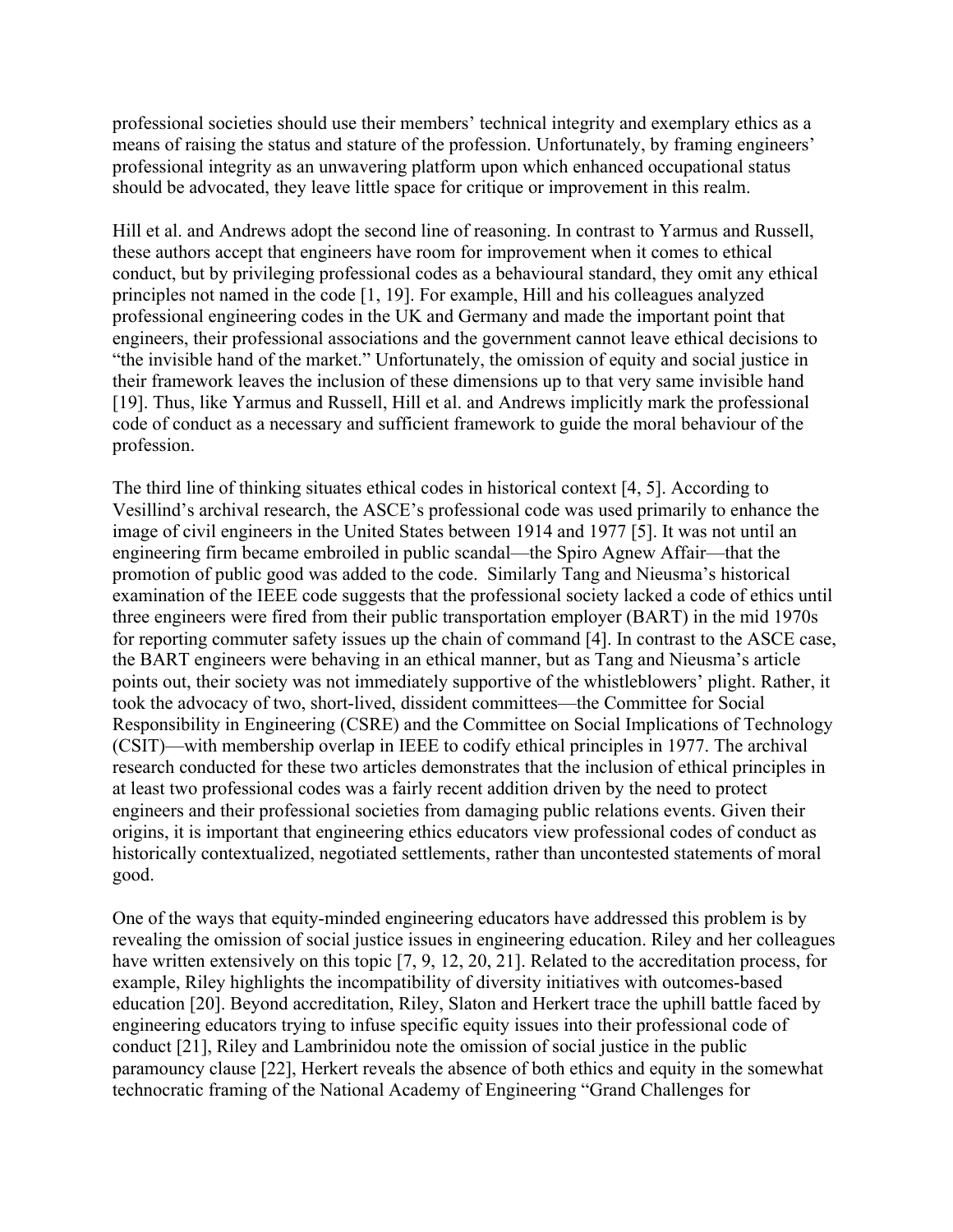professional societies should use their members' technical integrity and exemplary ethics as a means of raising the status and stature of the profession. Unfortunately, by framing engineers' professional integrity as an unwavering platform upon which enhanced occupational status should be advocated, they leave little space for critique or improvement in this realm.

Hill et al. and Andrews adopt the second line of reasoning. In contrast to Yarmus and Russell, these authors accept that engineers have room for improvement when it comes to ethical conduct, but by privileging professional codes as a behavioural standard, they omit any ethical principles not named in the code [1, 19]. For example, Hill and his colleagues analyzed professional engineering codes in the UK and Germany and made the important point that engineers, their professional associations and the government cannot leave ethical decisions to "the invisible hand of the market." Unfortunately, the omission of equity and social justice in their framework leaves the inclusion of these dimensions up to that very same invisible hand [19]. Thus, like Yarmus and Russell, Hill et al. and Andrews implicitly mark the professional code of conduct as a necessary and sufficient framework to guide the moral behaviour of the profession.

The third line of thinking situates ethical codes in historical context [4, 5]. According to Vesillind's archival research, the ASCE's professional code was used primarily to enhance the image of civil engineers in the United States between 1914 and 1977 [5]. It was not until an engineering firm became embroiled in public scandal—the Spiro Agnew Affair—that the promotion of public good was added to the code. Similarly Tang and Nieusma's historical examination of the IEEE code suggests that the professional society lacked a code of ethics until three engineers were fired from their public transportation employer (BART) in the mid 1970s for reporting commuter safety issues up the chain of command [4]. In contrast to the ASCE case, the BART engineers were behaving in an ethical manner, but as Tang and Nieusma's article points out, their society was not immediately supportive of the whistleblowers' plight. Rather, it took the advocacy of two, short-lived, dissident committees—the Committee for Social Responsibility in Engineering (CSRE) and the Committee on Social Implications of Technology (CSIT)—with membership overlap in IEEE to codify ethical principles in 1977. The archival research conducted for these two articles demonstrates that the inclusion of ethical principles in at least two professional codes was a fairly recent addition driven by the need to protect engineers and their professional societies from damaging public relations events. Given their origins, it is important that engineering ethics educators view professional codes of conduct as historically contextualized, negotiated settlements, rather than uncontested statements of moral good.

One of the ways that equity-minded engineering educators have addressed this problem is by revealing the omission of social justice issues in engineering education. Riley and her colleagues have written extensively on this topic [7, 9, 12, 20, 21]. Related to the accreditation process, for example, Riley highlights the incompatibility of diversity initiatives with outcomes-based education [20]. Beyond accreditation, Riley, Slaton and Herkert trace the uphill battle faced by engineering educators trying to infuse specific equity issues into their professional code of conduct [21], Riley and Lambrinidou note the omission of social justice in the public paramouncy clause [22], Herkert reveals the absence of both ethics and equity in the somewhat technocratic framing of the National Academy of Engineering "Grand Challenges for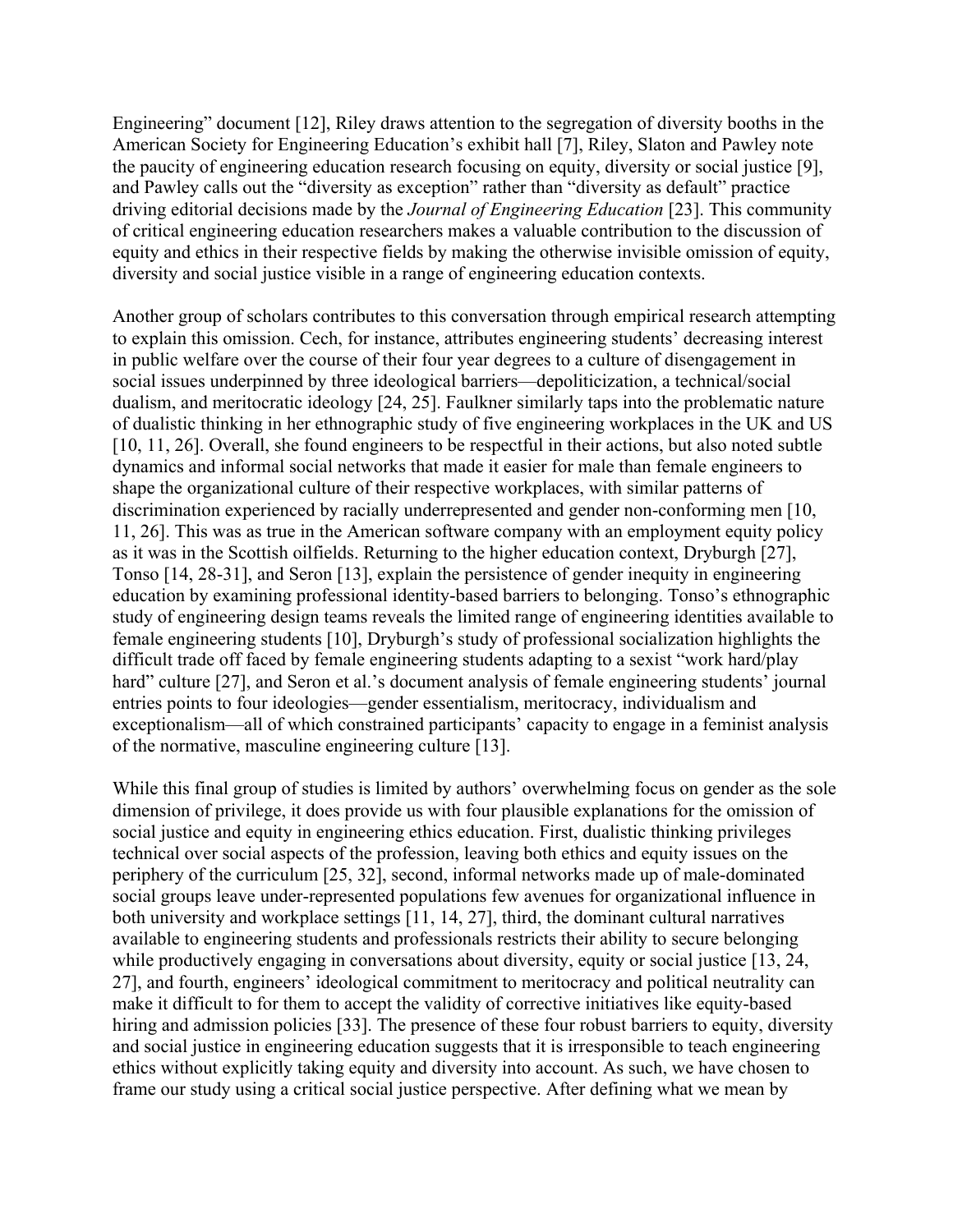Engineering" document [12], Riley draws attention to the segregation of diversity booths in the American Society for Engineering Education's exhibit hall [7], Riley, Slaton and Pawley note the paucity of engineering education research focusing on equity, diversity or social justice [9], and Pawley calls out the "diversity as exception" rather than "diversity as default" practice driving editorial decisions made by the *Journal of Engineering Education* [23]. This community of critical engineering education researchers makes a valuable contribution to the discussion of equity and ethics in their respective fields by making the otherwise invisible omission of equity, diversity and social justice visible in a range of engineering education contexts.

Another group of scholars contributes to this conversation through empirical research attempting to explain this omission. Cech, for instance, attributes engineering students' decreasing interest in public welfare over the course of their four year degrees to a culture of disengagement in social issues underpinned by three ideological barriers—depoliticization, a technical/social dualism, and meritocratic ideology [24, 25]. Faulkner similarly taps into the problematic nature of dualistic thinking in her ethnographic study of five engineering workplaces in the UK and US [10, 11, 26]. Overall, she found engineers to be respectful in their actions, but also noted subtle dynamics and informal social networks that made it easier for male than female engineers to shape the organizational culture of their respective workplaces, with similar patterns of discrimination experienced by racially underrepresented and gender non-conforming men [10, 11, 26]. This was as true in the American software company with an employment equity policy as it was in the Scottish oilfields. Returning to the higher education context, Dryburgh [27], Tonso [14, 28-31], and Seron [13], explain the persistence of gender inequity in engineering education by examining professional identity-based barriers to belonging. Tonso's ethnographic study of engineering design teams reveals the limited range of engineering identities available to female engineering students [10], Dryburgh's study of professional socialization highlights the difficult trade off faced by female engineering students adapting to a sexist "work hard/play hard" culture [27], and Seron et al.'s document analysis of female engineering students' journal entries points to four ideologies—gender essentialism, meritocracy, individualism and exceptionalism—all of which constrained participants' capacity to engage in a feminist analysis of the normative, masculine engineering culture [13].

While this final group of studies is limited by authors' overwhelming focus on gender as the sole dimension of privilege, it does provide us with four plausible explanations for the omission of social justice and equity in engineering ethics education. First, dualistic thinking privileges technical over social aspects of the profession, leaving both ethics and equity issues on the periphery of the curriculum [25, 32], second, informal networks made up of male-dominated social groups leave under-represented populations few avenues for organizational influence in both university and workplace settings [11, 14, 27], third, the dominant cultural narratives available to engineering students and professionals restricts their ability to secure belonging while productively engaging in conversations about diversity, equity or social justice [13, 24, 27], and fourth, engineers' ideological commitment to meritocracy and political neutrality can make it difficult to for them to accept the validity of corrective initiatives like equity-based hiring and admission policies [33]. The presence of these four robust barriers to equity, diversity and social justice in engineering education suggests that it is irresponsible to teach engineering ethics without explicitly taking equity and diversity into account. As such, we have chosen to frame our study using a critical social justice perspective. After defining what we mean by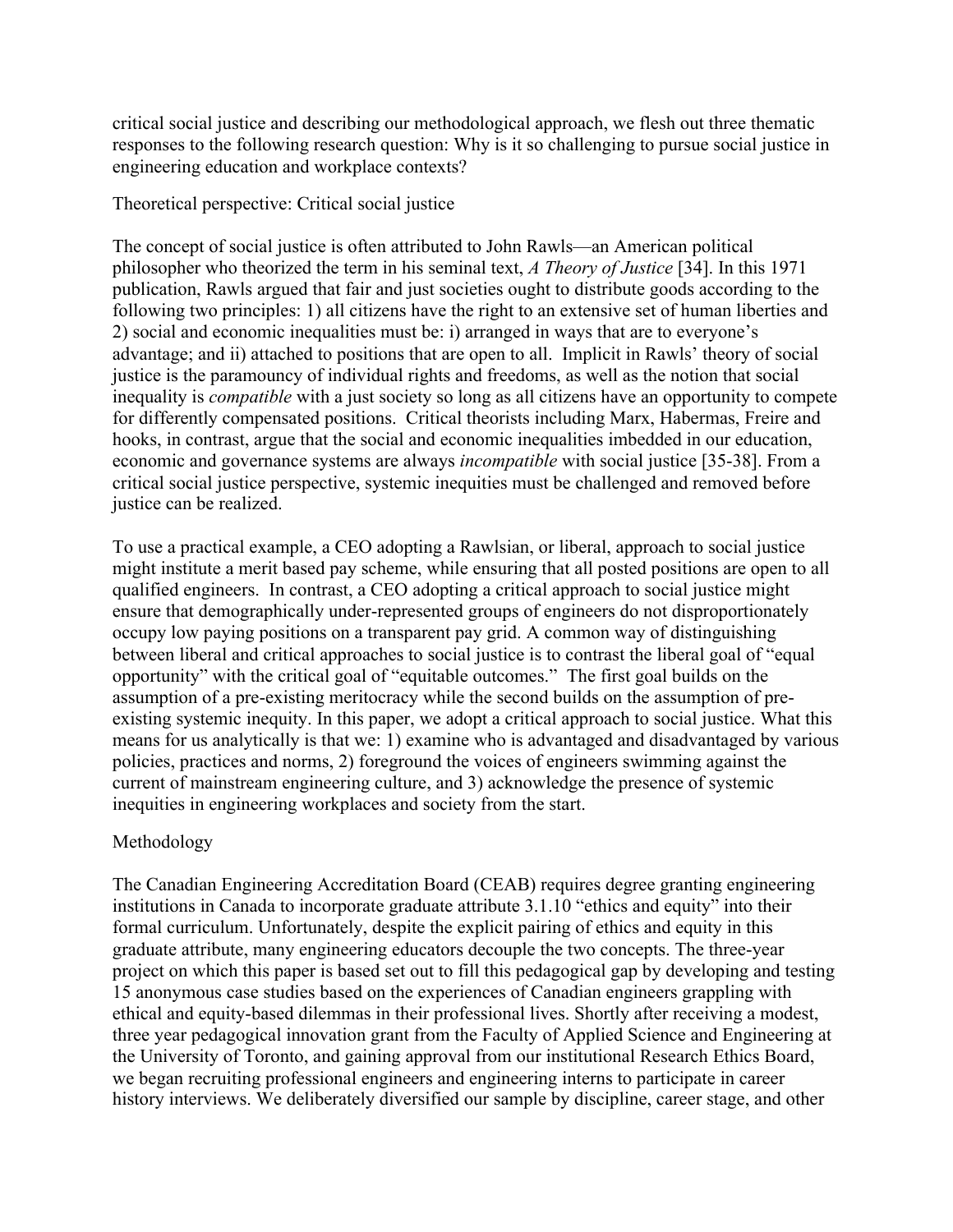critical social justice and describing our methodological approach, we flesh out three thematic responses to the following research question: Why is it so challenging to pursue social justice in engineering education and workplace contexts?

### Theoretical perspective: Critical social justice

The concept of social justice is often attributed to John Rawls—an American political philosopher who theorized the term in his seminal text, *A Theory of Justice* [34]. In this 1971 publication, Rawls argued that fair and just societies ought to distribute goods according to the following two principles: 1) all citizens have the right to an extensive set of human liberties and 2) social and economic inequalities must be: i) arranged in ways that are to everyone's advantage; and ii) attached to positions that are open to all. Implicit in Rawls' theory of social justice is the paramouncy of individual rights and freedoms, as well as the notion that social inequality is *compatible* with a just society so long as all citizens have an opportunity to compete for differently compensated positions. Critical theorists including Marx, Habermas, Freire and hooks, in contrast, argue that the social and economic inequalities imbedded in our education, economic and governance systems are always *incompatible* with social justice [35-38]. From a critical social justice perspective, systemic inequities must be challenged and removed before justice can be realized.

To use a practical example, a CEO adopting a Rawlsian, or liberal, approach to social justice might institute a merit based pay scheme, while ensuring that all posted positions are open to all qualified engineers. In contrast, a CEO adopting a critical approach to social justice might ensure that demographically under-represented groups of engineers do not disproportionately occupy low paying positions on a transparent pay grid. A common way of distinguishing between liberal and critical approaches to social justice is to contrast the liberal goal of "equal opportunity" with the critical goal of "equitable outcomes." The first goal builds on the assumption of a pre-existing meritocracy while the second builds on the assumption of preexisting systemic inequity. In this paper, we adopt a critical approach to social justice. What this means for us analytically is that we: 1) examine who is advantaged and disadvantaged by various policies, practices and norms, 2) foreground the voices of engineers swimming against the current of mainstream engineering culture, and 3) acknowledge the presence of systemic inequities in engineering workplaces and society from the start.

### Methodology

The Canadian Engineering Accreditation Board (CEAB) requires degree granting engineering institutions in Canada to incorporate graduate attribute 3.1.10 "ethics and equity" into their formal curriculum. Unfortunately, despite the explicit pairing of ethics and equity in this graduate attribute, many engineering educators decouple the two concepts. The three-year project on which this paper is based set out to fill this pedagogical gap by developing and testing 15 anonymous case studies based on the experiences of Canadian engineers grappling with ethical and equity-based dilemmas in their professional lives. Shortly after receiving a modest, three year pedagogical innovation grant from the Faculty of Applied Science and Engineering at the University of Toronto, and gaining approval from our institutional Research Ethics Board, we began recruiting professional engineers and engineering interns to participate in career history interviews. We deliberately diversified our sample by discipline, career stage, and other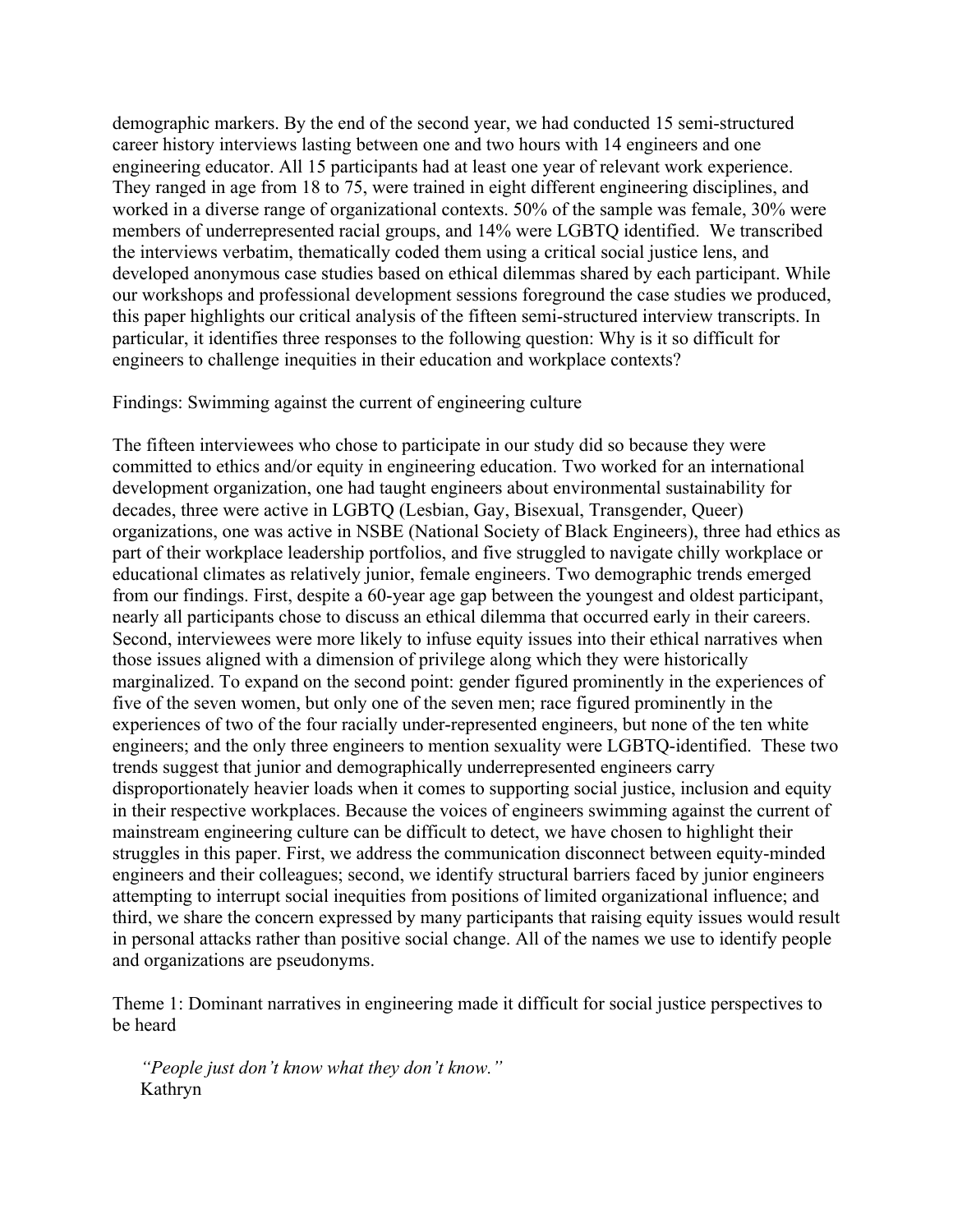demographic markers. By the end of the second year, we had conducted 15 semi-structured career history interviews lasting between one and two hours with 14 engineers and one engineering educator. All 15 participants had at least one year of relevant work experience. They ranged in age from 18 to 75, were trained in eight different engineering disciplines, and worked in a diverse range of organizational contexts. 50% of the sample was female, 30% were members of underrepresented racial groups, and 14% were LGBTQ identified. We transcribed the interviews verbatim, thematically coded them using a critical social justice lens, and developed anonymous case studies based on ethical dilemmas shared by each participant. While our workshops and professional development sessions foreground the case studies we produced, this paper highlights our critical analysis of the fifteen semi-structured interview transcripts. In particular, it identifies three responses to the following question: Why is it so difficult for engineers to challenge inequities in their education and workplace contexts?

#### Findings: Swimming against the current of engineering culture

The fifteen interviewees who chose to participate in our study did so because they were committed to ethics and/or equity in engineering education. Two worked for an international development organization, one had taught engineers about environmental sustainability for decades, three were active in LGBTQ (Lesbian, Gay, Bisexual, Transgender, Queer) organizations, one was active in NSBE (National Society of Black Engineers), three had ethics as part of their workplace leadership portfolios, and five struggled to navigate chilly workplace or educational climates as relatively junior, female engineers. Two demographic trends emerged from our findings. First, despite a 60-year age gap between the youngest and oldest participant, nearly all participants chose to discuss an ethical dilemma that occurred early in their careers. Second, interviewees were more likely to infuse equity issues into their ethical narratives when those issues aligned with a dimension of privilege along which they were historically marginalized. To expand on the second point: gender figured prominently in the experiences of five of the seven women, but only one of the seven men; race figured prominently in the experiences of two of the four racially under-represented engineers, but none of the ten white engineers; and the only three engineers to mention sexuality were LGBTQ-identified. These two trends suggest that junior and demographically underrepresented engineers carry disproportionately heavier loads when it comes to supporting social justice, inclusion and equity in their respective workplaces. Because the voices of engineers swimming against the current of mainstream engineering culture can be difficult to detect, we have chosen to highlight their struggles in this paper. First, we address the communication disconnect between equity-minded engineers and their colleagues; second, we identify structural barriers faced by junior engineers attempting to interrupt social inequities from positions of limited organizational influence; and third, we share the concern expressed by many participants that raising equity issues would result in personal attacks rather than positive social change. All of the names we use to identify people and organizations are pseudonyms.

Theme 1: Dominant narratives in engineering made it difficult for social justice perspectives to be heard

*"People just don't know what they don't know."* Kathryn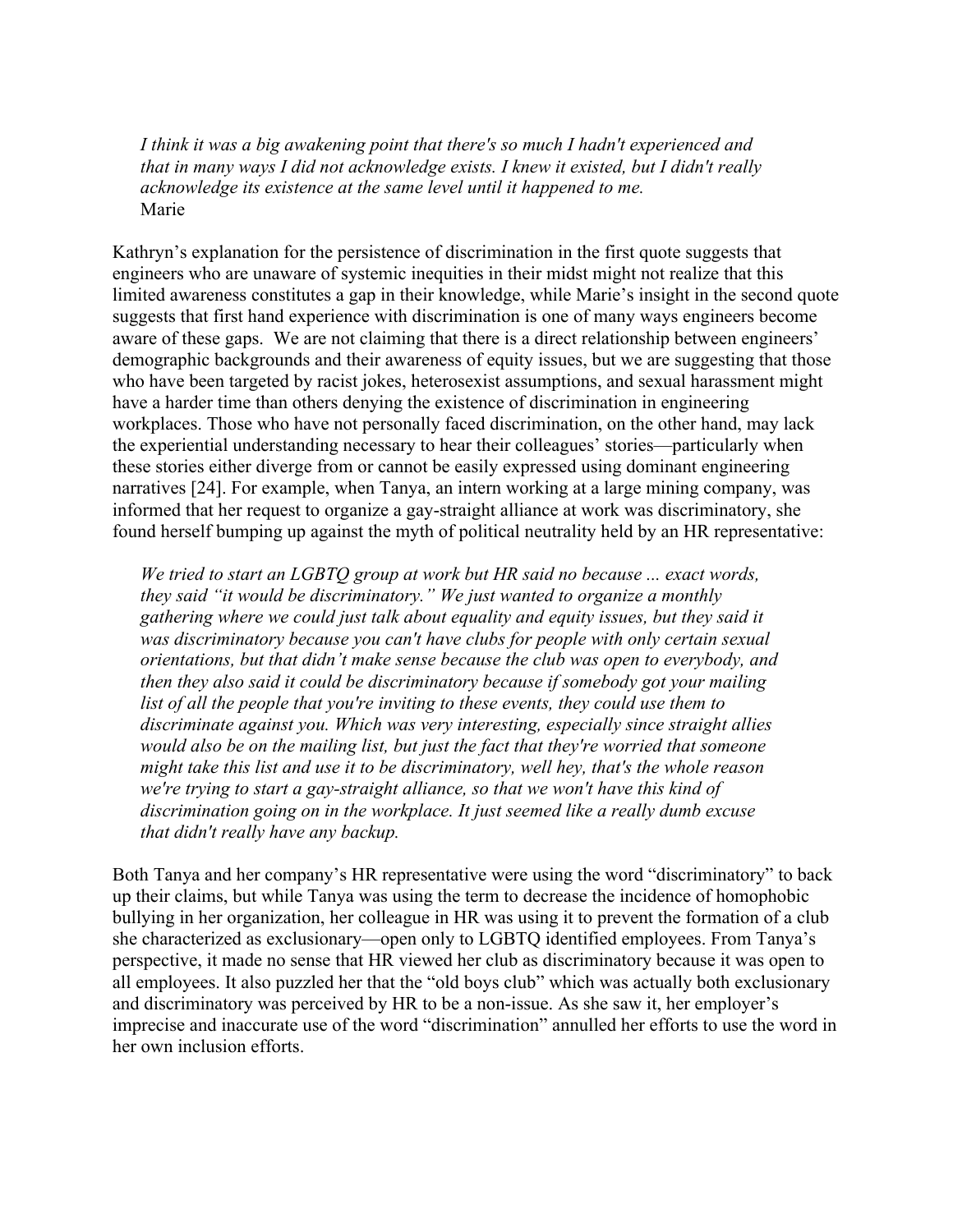*I think it was a big awakening point that there's so much I hadn't experienced and that in many ways I did not acknowledge exists. I knew it existed, but I didn't really acknowledge its existence at the same level until it happened to me.*  Marie

Kathryn's explanation for the persistence of discrimination in the first quote suggests that engineers who are unaware of systemic inequities in their midst might not realize that this limited awareness constitutes a gap in their knowledge, while Marie's insight in the second quote suggests that first hand experience with discrimination is one of many ways engineers become aware of these gaps. We are not claiming that there is a direct relationship between engineers' demographic backgrounds and their awareness of equity issues, but we are suggesting that those who have been targeted by racist jokes, heterosexist assumptions, and sexual harassment might have a harder time than others denying the existence of discrimination in engineering workplaces. Those who have not personally faced discrimination, on the other hand, may lack the experiential understanding necessary to hear their colleagues' stories—particularly when these stories either diverge from or cannot be easily expressed using dominant engineering narratives [24]. For example, when Tanya, an intern working at a large mining company, was informed that her request to organize a gay-straight alliance at work was discriminatory, she found herself bumping up against the myth of political neutrality held by an HR representative:

*We tried to start an LGBTQ group at work but HR said no because ... exact words, they said "it would be discriminatory." We just wanted to organize a monthly gathering where we could just talk about equality and equity issues, but they said it was discriminatory because you can't have clubs for people with only certain sexual orientations, but that didn't make sense because the club was open to everybody, and then they also said it could be discriminatory because if somebody got your mailing*  list of all the people that you're inviting to these events, they could use them to *discriminate against you. Which was very interesting, especially since straight allies would also be on the mailing list, but just the fact that they're worried that someone might take this list and use it to be discriminatory, well hey, that's the whole reason we're trying to start a gay-straight alliance, so that we won't have this kind of discrimination going on in the workplace. It just seemed like a really dumb excuse that didn't really have any backup.* 

Both Tanya and her company's HR representative were using the word "discriminatory" to back up their claims, but while Tanya was using the term to decrease the incidence of homophobic bullying in her organization, her colleague in HR was using it to prevent the formation of a club she characterized as exclusionary—open only to LGBTQ identified employees. From Tanya's perspective, it made no sense that HR viewed her club as discriminatory because it was open to all employees. It also puzzled her that the "old boys club" which was actually both exclusionary and discriminatory was perceived by HR to be a non-issue. As she saw it, her employer's imprecise and inaccurate use of the word "discrimination" annulled her efforts to use the word in her own inclusion efforts.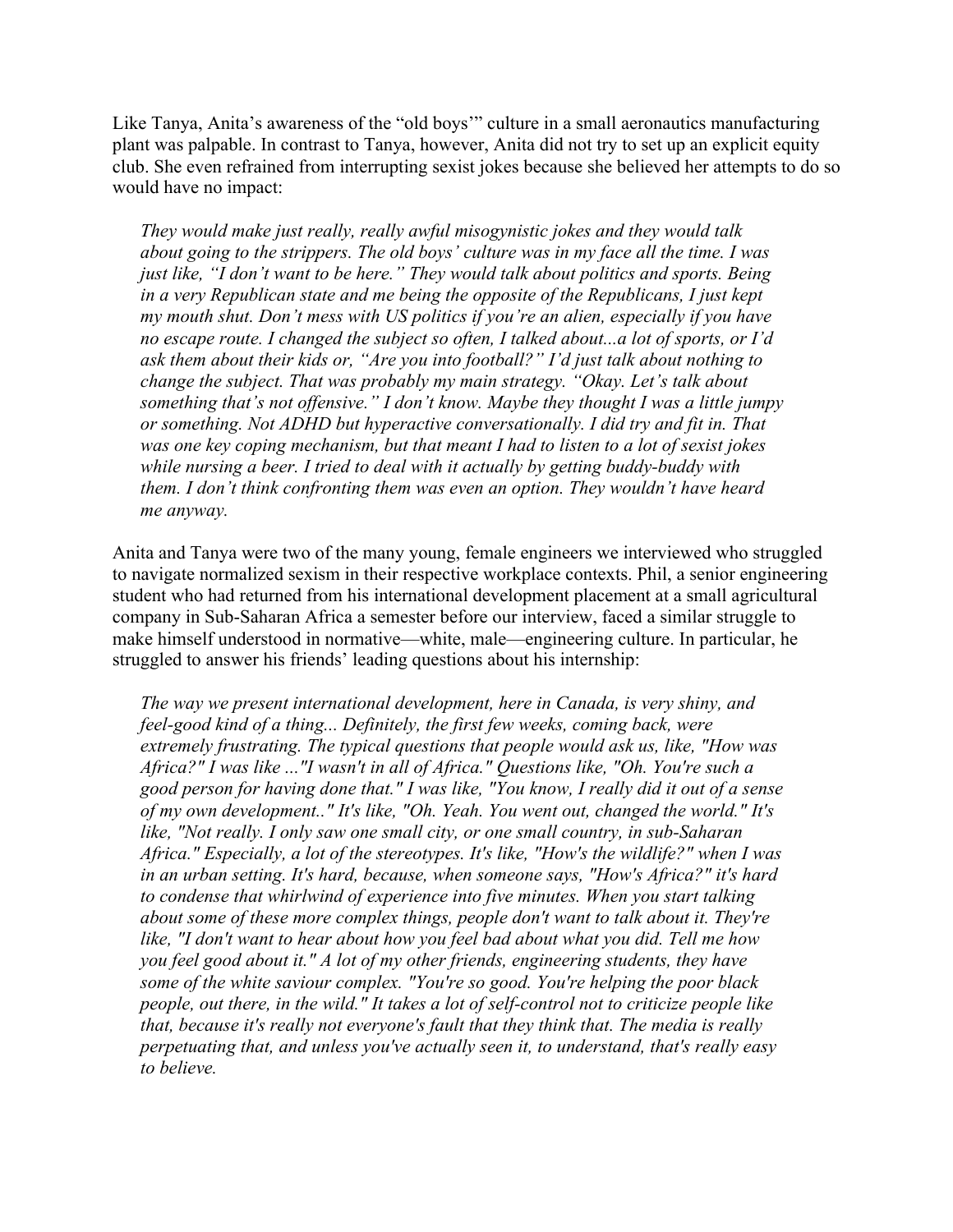Like Tanya, Anita's awareness of the "old boys'" culture in a small aeronautics manufacturing plant was palpable. In contrast to Tanya, however, Anita did not try to set up an explicit equity club. She even refrained from interrupting sexist jokes because she believed her attempts to do so would have no impact:

*They would make just really, really awful misogynistic jokes and they would talk about going to the strippers. The old boys' culture was in my face all the time. I was just like, "I don't want to be here." They would talk about politics and sports. Being in a very Republican state and me being the opposite of the Republicans, I just kept my mouth shut. Don't mess with US politics if you're an alien, especially if you have no escape route. I changed the subject so often, I talked about...a lot of sports, or I'd ask them about their kids or, "Are you into football?" I'd just talk about nothing to change the subject. That was probably my main strategy. "Okay. Let's talk about something that's not offensive." I don't know. Maybe they thought I was a little jumpy or something. Not ADHD but hyperactive conversationally. I did try and fit in. That was one key coping mechanism, but that meant I had to listen to a lot of sexist jokes while nursing a beer. I tried to deal with it actually by getting buddy-buddy with them. I don't think confronting them was even an option. They wouldn't have heard me anyway.*

Anita and Tanya were two of the many young, female engineers we interviewed who struggled to navigate normalized sexism in their respective workplace contexts. Phil, a senior engineering student who had returned from his international development placement at a small agricultural company in Sub-Saharan Africa a semester before our interview, faced a similar struggle to make himself understood in normative—white, male—engineering culture. In particular, he struggled to answer his friends' leading questions about his internship:

*The way we present international development, here in Canada, is very shiny, and feel-good kind of a thing... Definitely, the first few weeks, coming back, were extremely frustrating. The typical questions that people would ask us, like, "How was Africa?" I was like ..."I wasn't in all of Africa." Questions like, "Oh. You're such a good person for having done that." I was like, "You know, I really did it out of a sense of my own development.." It's like, "Oh. Yeah. You went out, changed the world." It's like, "Not really. I only saw one small city, or one small country, in sub-Saharan Africa." Especially, a lot of the stereotypes. It's like, "How's the wildlife?" when I was in an urban setting. It's hard, because, when someone says, "How's Africa?" it's hard to condense that whirlwind of experience into five minutes. When you start talking about some of these more complex things, people don't want to talk about it. They're like, "I don't want to hear about how you feel bad about what you did. Tell me how you feel good about it." A lot of my other friends, engineering students, they have some of the white saviour complex. "You're so good. You're helping the poor black people, out there, in the wild." It takes a lot of self-control not to criticize people like that, because it's really not everyone's fault that they think that. The media is really perpetuating that, and unless you've actually seen it, to understand, that's really easy to believe.*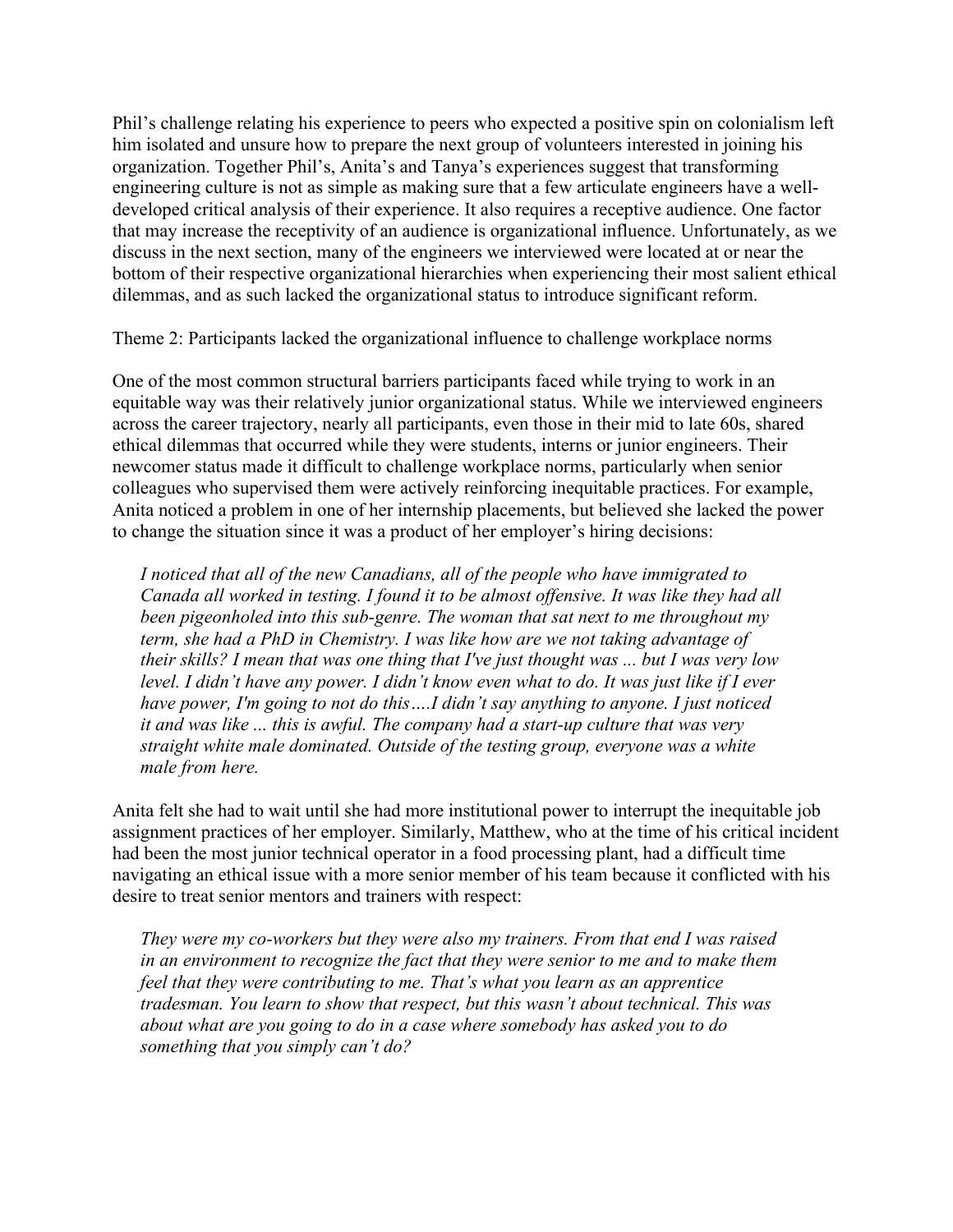Phil's challenge relating his experience to peers who expected a positive spin on colonialism left him isolated and unsure how to prepare the next group of volunteers interested in joining his organization. Together Phil's, Anita's and Tanya's experiences suggest that transforming engineering culture is not as simple as making sure that a few articulate engineers have a welldeveloped critical analysis of their experience. It also requires a receptive audience. One factor that may increase the receptivity of an audience is organizational influence. Unfortunately, as we discuss in the next section, many of the engineers we interviewed were located at or near the bottom of their respective organizational hierarchies when experiencing their most salient ethical dilemmas, and as such lacked the organizational status to introduce significant reform.

Theme 2: Participants lacked the organizational influence to challenge workplace norms

One of the most common structural barriers participants faced while trying to work in an equitable way was their relatively junior organizational status. While we interviewed engineers across the career trajectory, nearly all participants, even those in their mid to late 60s, shared ethical dilemmas that occurred while they were students, interns or junior engineers. Their newcomer status made it difficult to challenge workplace norms, particularly when senior colleagues who supervised them were actively reinforcing inequitable practices. For example, Anita noticed a problem in one of her internship placements, but believed she lacked the power to change the situation since it was a product of her employer's hiring decisions:

*I noticed that all of the new Canadians, all of the people who have immigrated to Canada all worked in testing. I found it to be almost offensive. It was like they had all been pigeonholed into this sub-genre. The woman that sat next to me throughout my term, she had a PhD in Chemistry. I was like how are we not taking advantage of their skills? I mean that was one thing that I've just thought was ... but I was very low level. I didn't have any power. I didn't know even what to do. It was just like if I ever have power, I'm going to not do this....I didn't say anything to anyone. I just noticed it and was like ... this is awful. The company had a start-up culture that was very straight white male dominated. Outside of the testing group, everyone was a white male from here.*

Anita felt she had to wait until she had more institutional power to interrupt the inequitable job assignment practices of her employer. Similarly, Matthew, who at the time of his critical incident had been the most junior technical operator in a food processing plant, had a difficult time navigating an ethical issue with a more senior member of his team because it conflicted with his desire to treat senior mentors and trainers with respect:

*They were my co-workers but they were also my trainers. From that end I was raised in an environment to recognize the fact that they were senior to me and to make them feel that they were contributing to me. That's what you learn as an apprentice tradesman. You learn to show that respect, but this wasn't about technical. This was about what are you going to do in a case where somebody has asked you to do something that you simply can't do?*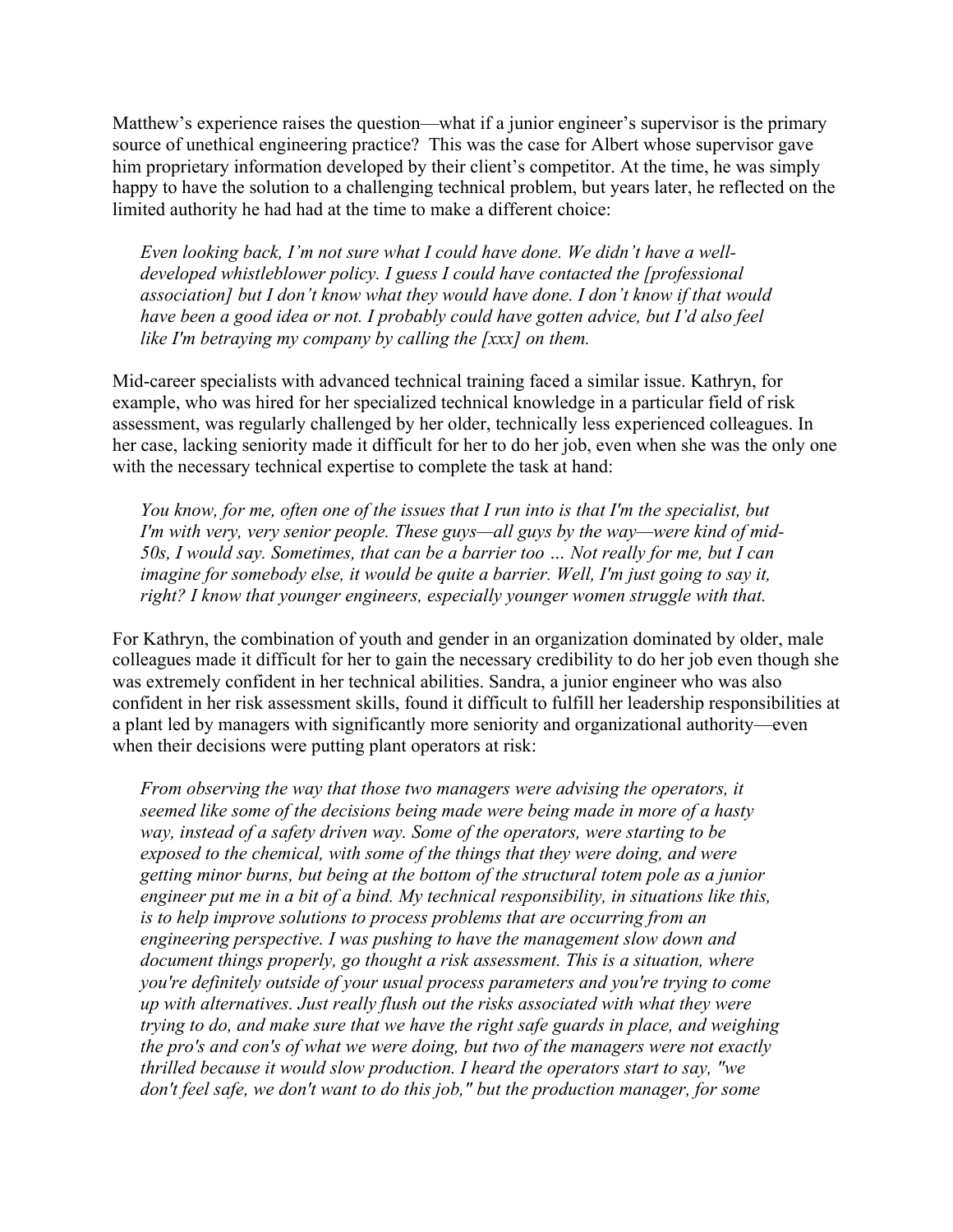Matthew's experience raises the question—what if a junior engineer's supervisor is the primary source of unethical engineering practice? This was the case for Albert whose supervisor gave him proprietary information developed by their client's competitor. At the time, he was simply happy to have the solution to a challenging technical problem, but years later, he reflected on the limited authority he had had at the time to make a different choice:

*Even looking back, I'm not sure what I could have done. We didn't have a welldeveloped whistleblower policy. I guess I could have contacted the [professional association] but I don't know what they would have done. I don't know if that would have been a good idea or not. I probably could have gotten advice, but I'd also feel like I'm betraying my company by calling the [xxx] on them.*

Mid-career specialists with advanced technical training faced a similar issue. Kathryn, for example, who was hired for her specialized technical knowledge in a particular field of risk assessment, was regularly challenged by her older, technically less experienced colleagues. In her case, lacking seniority made it difficult for her to do her job, even when she was the only one with the necessary technical expertise to complete the task at hand:

*You know, for me, often one of the issues that I run into is that I'm the specialist, but I'm with very, very senior people. These guys—all guys by the way—were kind of mid-50s, I would say. Sometimes, that can be a barrier too … Not really for me, but I can imagine for somebody else, it would be quite a barrier. Well, I'm just going to say it, right? I know that younger engineers, especially younger women struggle with that.*

For Kathryn, the combination of youth and gender in an organization dominated by older, male colleagues made it difficult for her to gain the necessary credibility to do her job even though she was extremely confident in her technical abilities. Sandra, a junior engineer who was also confident in her risk assessment skills, found it difficult to fulfill her leadership responsibilities at a plant led by managers with significantly more seniority and organizational authority—even when their decisions were putting plant operators at risk:

*From observing the way that those two managers were advising the operators, it seemed like some of the decisions being made were being made in more of a hasty way, instead of a safety driven way. Some of the operators, were starting to be exposed to the chemical, with some of the things that they were doing, and were getting minor burns, but being at the bottom of the structural totem pole as a junior engineer put me in a bit of a bind. My technical responsibility, in situations like this, is to help improve solutions to process problems that are occurring from an engineering perspective. I was pushing to have the management slow down and document things properly, go thought a risk assessment. This is a situation, where you're definitely outside of your usual process parameters and you're trying to come up with alternatives. Just really flush out the risks associated with what they were trying to do, and make sure that we have the right safe guards in place, and weighing the pro's and con's of what we were doing, but two of the managers were not exactly thrilled because it would slow production. I heard the operators start to say, "we don't feel safe, we don't want to do this job," but the production manager, for some*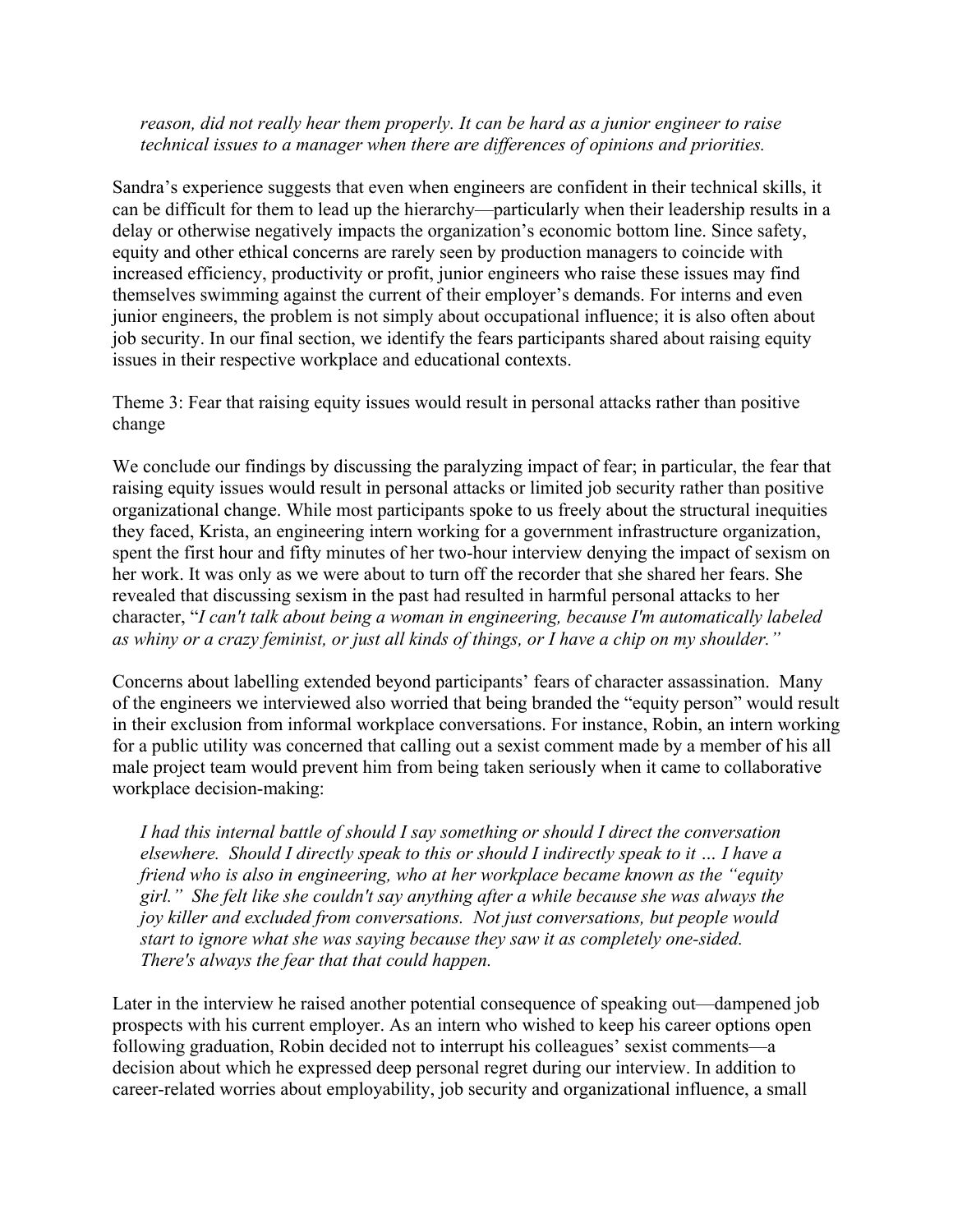### *reason, did not really hear them properly. It can be hard as a junior engineer to raise technical issues to a manager when there are differences of opinions and priorities.*

Sandra's experience suggests that even when engineers are confident in their technical skills, it can be difficult for them to lead up the hierarchy—particularly when their leadership results in a delay or otherwise negatively impacts the organization's economic bottom line. Since safety, equity and other ethical concerns are rarely seen by production managers to coincide with increased efficiency, productivity or profit, junior engineers who raise these issues may find themselves swimming against the current of their employer's demands. For interns and even junior engineers, the problem is not simply about occupational influence; it is also often about job security. In our final section, we identify the fears participants shared about raising equity issues in their respective workplace and educational contexts.

Theme 3: Fear that raising equity issues would result in personal attacks rather than positive change

We conclude our findings by discussing the paralyzing impact of fear; in particular, the fear that raising equity issues would result in personal attacks or limited job security rather than positive organizational change. While most participants spoke to us freely about the structural inequities they faced, Krista, an engineering intern working for a government infrastructure organization, spent the first hour and fifty minutes of her two-hour interview denying the impact of sexism on her work. It was only as we were about to turn off the recorder that she shared her fears. She revealed that discussing sexism in the past had resulted in harmful personal attacks to her character, "*I can't talk about being a woman in engineering, because I'm automatically labeled as whiny or a crazy feminist, or just all kinds of things, or I have a chip on my shoulder."*

Concerns about labelling extended beyond participants' fears of character assassination. Many of the engineers we interviewed also worried that being branded the "equity person" would result in their exclusion from informal workplace conversations. For instance, Robin, an intern working for a public utility was concerned that calling out a sexist comment made by a member of his all male project team would prevent him from being taken seriously when it came to collaborative workplace decision-making:

*I had this internal battle of should I say something or should I direct the conversation elsewhere. Should I directly speak to this or should I indirectly speak to it … I have a friend who is also in engineering, who at her workplace became known as the "equity girl." She felt like she couldn't say anything after a while because she was always the joy killer and excluded from conversations. Not just conversations, but people would start to ignore what she was saying because they saw it as completely one-sided. There's always the fear that that could happen.*

Later in the interview he raised another potential consequence of speaking out—dampened job prospects with his current employer. As an intern who wished to keep his career options open following graduation, Robin decided not to interrupt his colleagues' sexist comments—a decision about which he expressed deep personal regret during our interview. In addition to career-related worries about employability, job security and organizational influence, a small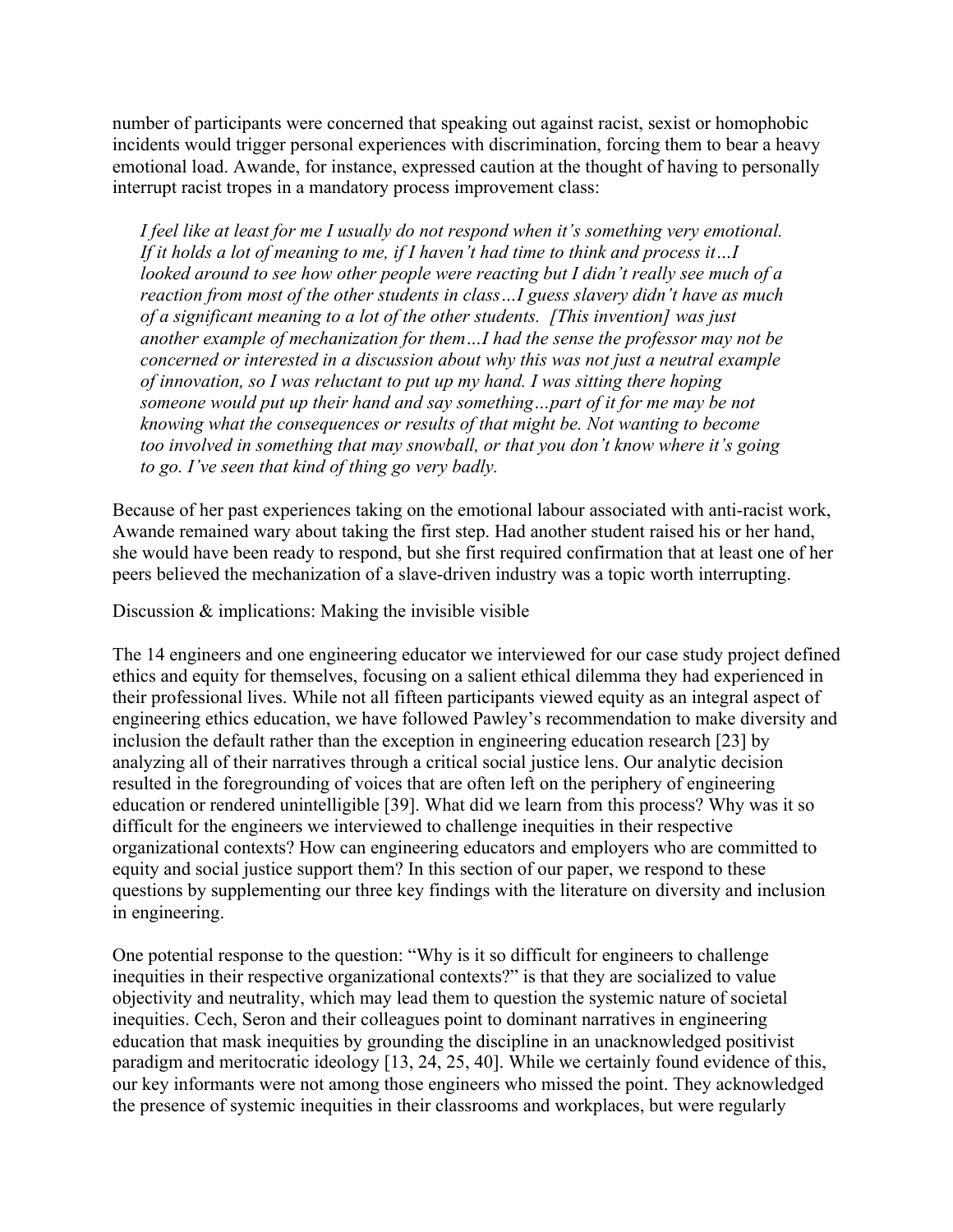number of participants were concerned that speaking out against racist, sexist or homophobic incidents would trigger personal experiences with discrimination, forcing them to bear a heavy emotional load. Awande, for instance, expressed caution at the thought of having to personally interrupt racist tropes in a mandatory process improvement class:

*I feel like at least for me I usually do not respond when it's something very emotional. If it holds a lot of meaning to me, if I haven't had time to think and process it…I looked around to see how other people were reacting but I didn't really see much of a reaction from most of the other students in class…I guess slavery didn't have as much of a significant meaning to a lot of the other students. [This invention] was just another example of mechanization for them…I had the sense the professor may not be concerned or interested in a discussion about why this was not just a neutral example of innovation, so I was reluctant to put up my hand. I was sitting there hoping someone would put up their hand and say something…part of it for me may be not knowing what the consequences or results of that might be. Not wanting to become too involved in something that may snowball, or that you don't know where it's going to go. I've seen that kind of thing go very badly.*

Because of her past experiences taking on the emotional labour associated with anti-racist work, Awande remained wary about taking the first step. Had another student raised his or her hand, she would have been ready to respond, but she first required confirmation that at least one of her peers believed the mechanization of a slave-driven industry was a topic worth interrupting.

Discussion & implications: Making the invisible visible

The 14 engineers and one engineering educator we interviewed for our case study project defined ethics and equity for themselves, focusing on a salient ethical dilemma they had experienced in their professional lives. While not all fifteen participants viewed equity as an integral aspect of engineering ethics education, we have followed Pawley's recommendation to make diversity and inclusion the default rather than the exception in engineering education research [23] by analyzing all of their narratives through a critical social justice lens. Our analytic decision resulted in the foregrounding of voices that are often left on the periphery of engineering education or rendered unintelligible [39]. What did we learn from this process? Why was it so difficult for the engineers we interviewed to challenge inequities in their respective organizational contexts? How can engineering educators and employers who are committed to equity and social justice support them? In this section of our paper, we respond to these questions by supplementing our three key findings with the literature on diversity and inclusion in engineering.

One potential response to the question: "Why is it so difficult for engineers to challenge inequities in their respective organizational contexts?" is that they are socialized to value objectivity and neutrality, which may lead them to question the systemic nature of societal inequities. Cech, Seron and their colleagues point to dominant narratives in engineering education that mask inequities by grounding the discipline in an unacknowledged positivist paradigm and meritocratic ideology [13, 24, 25, 40]. While we certainly found evidence of this, our key informants were not among those engineers who missed the point. They acknowledged the presence of systemic inequities in their classrooms and workplaces, but were regularly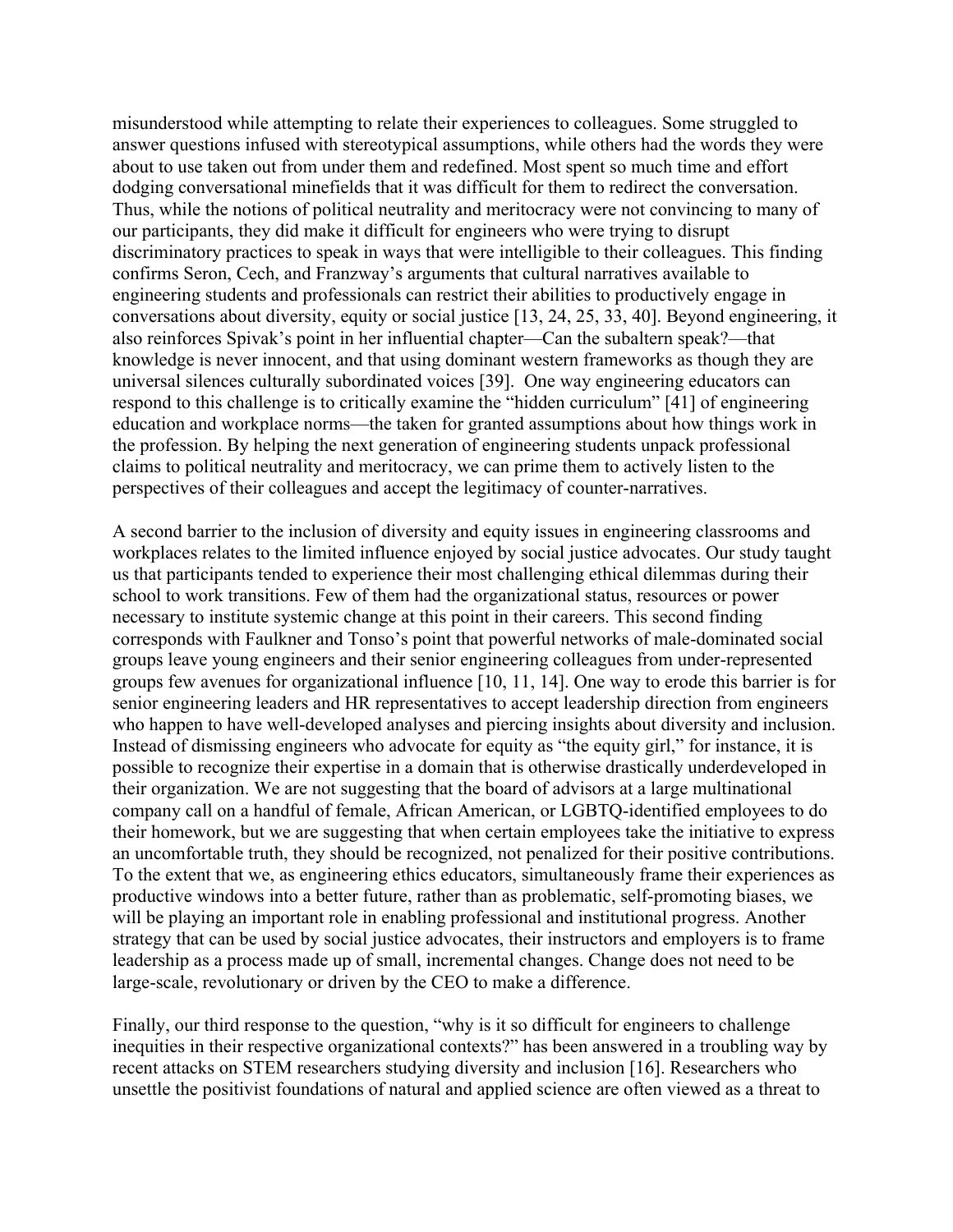misunderstood while attempting to relate their experiences to colleagues. Some struggled to answer questions infused with stereotypical assumptions, while others had the words they were about to use taken out from under them and redefined. Most spent so much time and effort dodging conversational minefields that it was difficult for them to redirect the conversation. Thus, while the notions of political neutrality and meritocracy were not convincing to many of our participants, they did make it difficult for engineers who were trying to disrupt discriminatory practices to speak in ways that were intelligible to their colleagues. This finding confirms Seron, Cech, and Franzway's arguments that cultural narratives available to engineering students and professionals can restrict their abilities to productively engage in conversations about diversity, equity or social justice [13, 24, 25, 33, 40]. Beyond engineering, it also reinforces Spivak's point in her influential chapter—Can the subaltern speak?—that knowledge is never innocent, and that using dominant western frameworks as though they are universal silences culturally subordinated voices [39]. One way engineering educators can respond to this challenge is to critically examine the "hidden curriculum" [41] of engineering education and workplace norms—the taken for granted assumptions about how things work in the profession. By helping the next generation of engineering students unpack professional claims to political neutrality and meritocracy, we can prime them to actively listen to the perspectives of their colleagues and accept the legitimacy of counter-narratives.

A second barrier to the inclusion of diversity and equity issues in engineering classrooms and workplaces relates to the limited influence enjoyed by social justice advocates. Our study taught us that participants tended to experience their most challenging ethical dilemmas during their school to work transitions. Few of them had the organizational status, resources or power necessary to institute systemic change at this point in their careers. This second finding corresponds with Faulkner and Tonso's point that powerful networks of male-dominated social groups leave young engineers and their senior engineering colleagues from under-represented groups few avenues for organizational influence [10, 11, 14]. One way to erode this barrier is for senior engineering leaders and HR representatives to accept leadership direction from engineers who happen to have well-developed analyses and piercing insights about diversity and inclusion. Instead of dismissing engineers who advocate for equity as "the equity girl," for instance, it is possible to recognize their expertise in a domain that is otherwise drastically underdeveloped in their organization. We are not suggesting that the board of advisors at a large multinational company call on a handful of female, African American, or LGBTQ-identified employees to do their homework, but we are suggesting that when certain employees take the initiative to express an uncomfortable truth, they should be recognized, not penalized for their positive contributions. To the extent that we, as engineering ethics educators, simultaneously frame their experiences as productive windows into a better future, rather than as problematic, self-promoting biases, we will be playing an important role in enabling professional and institutional progress. Another strategy that can be used by social justice advocates, their instructors and employers is to frame leadership as a process made up of small, incremental changes. Change does not need to be large-scale, revolutionary or driven by the CEO to make a difference.

Finally, our third response to the question, "why is it so difficult for engineers to challenge inequities in their respective organizational contexts?" has been answered in a troubling way by recent attacks on STEM researchers studying diversity and inclusion [16]. Researchers who unsettle the positivist foundations of natural and applied science are often viewed as a threat to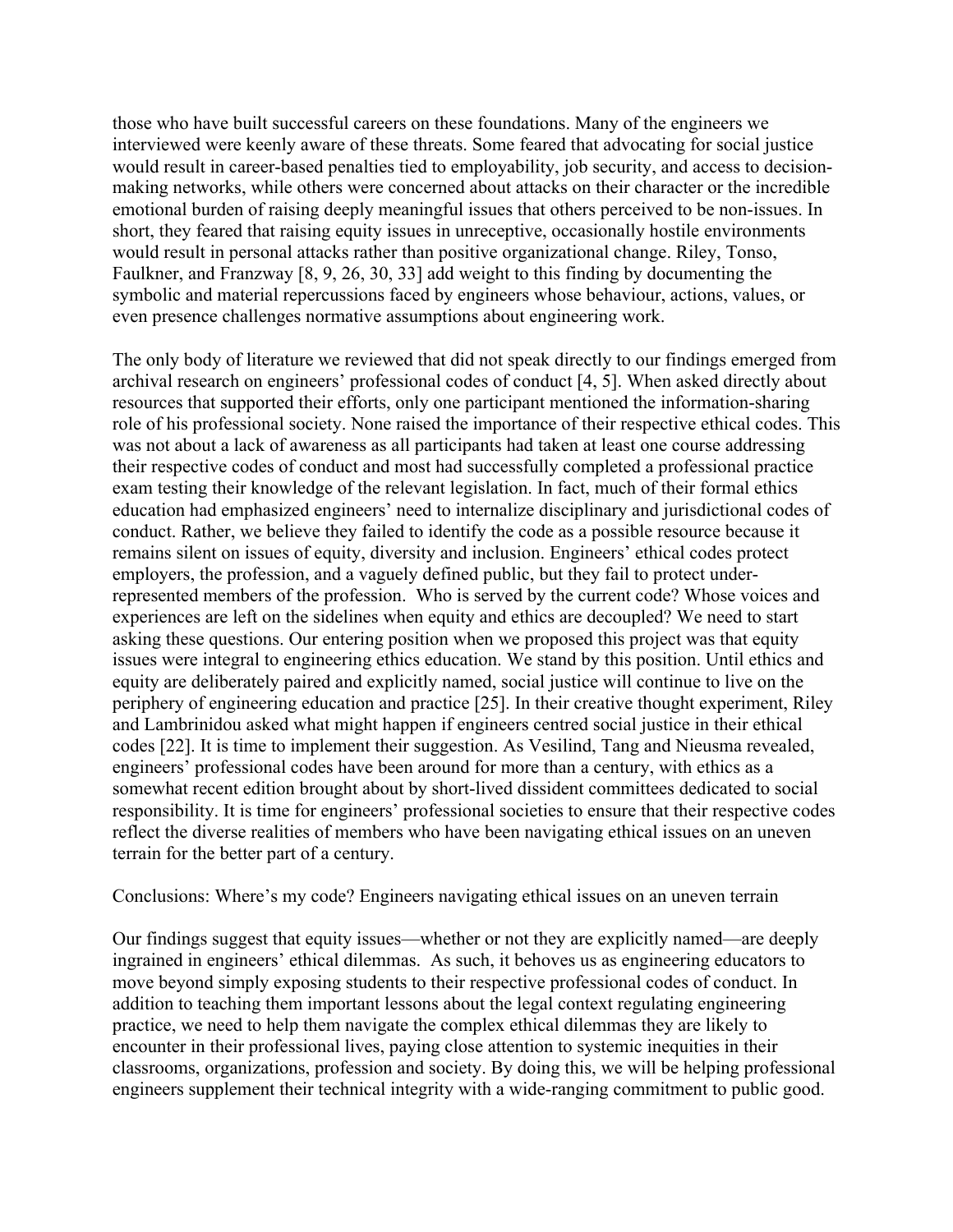those who have built successful careers on these foundations. Many of the engineers we interviewed were keenly aware of these threats. Some feared that advocating for social justice would result in career-based penalties tied to employability, job security, and access to decisionmaking networks, while others were concerned about attacks on their character or the incredible emotional burden of raising deeply meaningful issues that others perceived to be non-issues. In short, they feared that raising equity issues in unreceptive, occasionally hostile environments would result in personal attacks rather than positive organizational change. Riley, Tonso, Faulkner, and Franzway [8, 9, 26, 30, 33] add weight to this finding by documenting the symbolic and material repercussions faced by engineers whose behaviour, actions, values, or even presence challenges normative assumptions about engineering work.

The only body of literature we reviewed that did not speak directly to our findings emerged from archival research on engineers' professional codes of conduct [4, 5]. When asked directly about resources that supported their efforts, only one participant mentioned the information-sharing role of his professional society. None raised the importance of their respective ethical codes. This was not about a lack of awareness as all participants had taken at least one course addressing their respective codes of conduct and most had successfully completed a professional practice exam testing their knowledge of the relevant legislation. In fact, much of their formal ethics education had emphasized engineers' need to internalize disciplinary and jurisdictional codes of conduct. Rather, we believe they failed to identify the code as a possible resource because it remains silent on issues of equity, diversity and inclusion. Engineers' ethical codes protect employers, the profession, and a vaguely defined public, but they fail to protect underrepresented members of the profession. Who is served by the current code? Whose voices and experiences are left on the sidelines when equity and ethics are decoupled? We need to start asking these questions. Our entering position when we proposed this project was that equity issues were integral to engineering ethics education. We stand by this position. Until ethics and equity are deliberately paired and explicitly named, social justice will continue to live on the periphery of engineering education and practice [25]. In their creative thought experiment, Riley and Lambrinidou asked what might happen if engineers centred social justice in their ethical codes [22]. It is time to implement their suggestion. As Vesilind, Tang and Nieusma revealed, engineers' professional codes have been around for more than a century, with ethics as a somewhat recent edition brought about by short-lived dissident committees dedicated to social responsibility. It is time for engineers' professional societies to ensure that their respective codes reflect the diverse realities of members who have been navigating ethical issues on an uneven terrain for the better part of a century.

Conclusions: Where's my code? Engineers navigating ethical issues on an uneven terrain

Our findings suggest that equity issues—whether or not they are explicitly named—are deeply ingrained in engineers' ethical dilemmas. As such, it behoves us as engineering educators to move beyond simply exposing students to their respective professional codes of conduct. In addition to teaching them important lessons about the legal context regulating engineering practice, we need to help them navigate the complex ethical dilemmas they are likely to encounter in their professional lives, paying close attention to systemic inequities in their classrooms, organizations, profession and society. By doing this, we will be helping professional engineers supplement their technical integrity with a wide-ranging commitment to public good.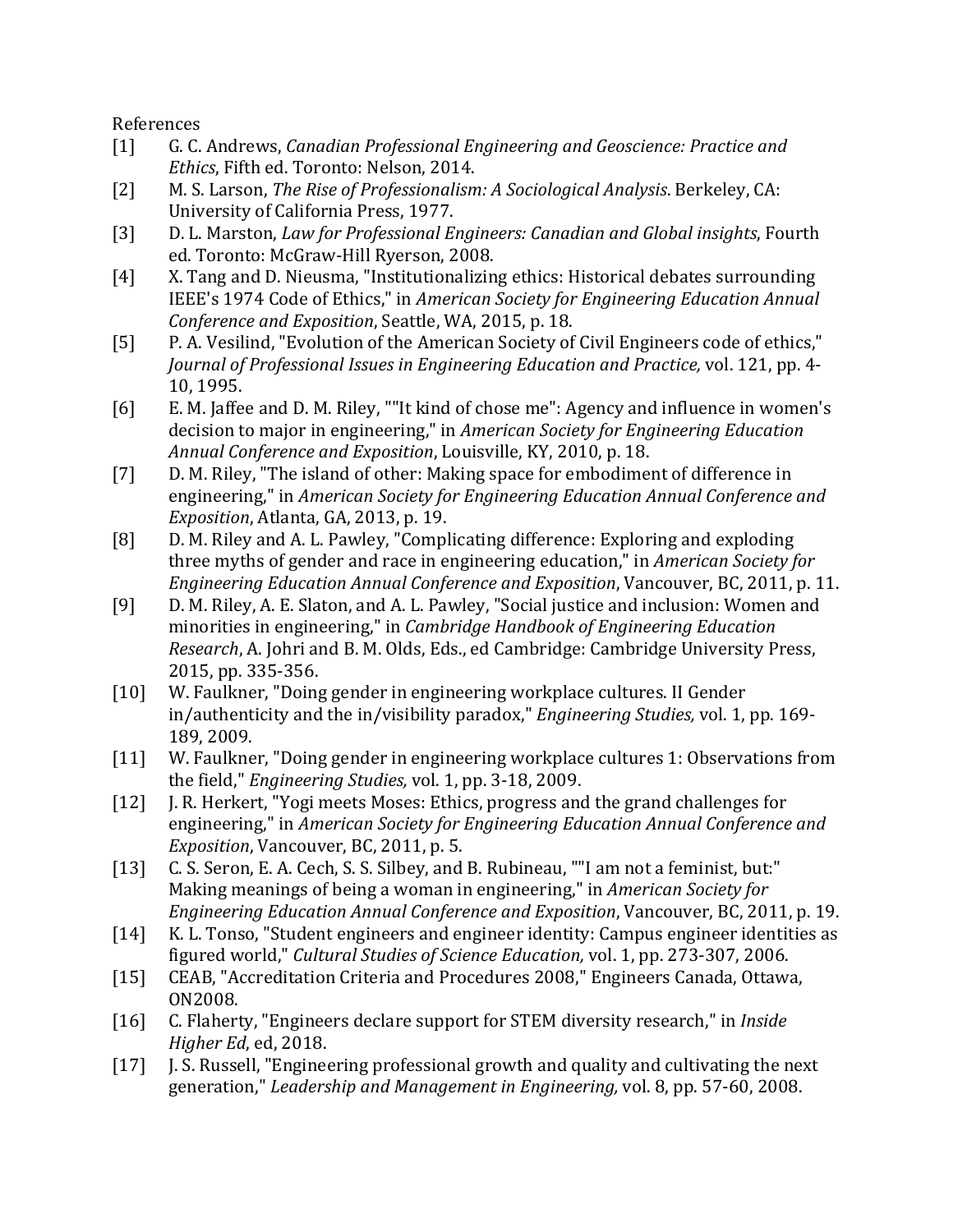References

- [1] G. C. Andrews, *Canadian Professional Engineering and Geoscience: Practice and Ethics*, Fifth ed. Toronto: Nelson, 2014.
- [2] M. S. Larson, *The Rise of Professionalism: A Sociological Analysis*. Berkeley, CA: University of California Press, 1977.
- [3] D. L. Marston, *Law for Professional Engineers: Canadian and Global insights*, Fourth ed. Toronto: McGraw-Hill Ryerson, 2008.
- [4] X. Tang and D. Nieusma, "Institutionalizing ethics: Historical debates surrounding IEEE's 1974 Code of Ethics," in *American Society for Engineering Education Annual Conference and Exposition*, Seattle, WA, 2015, p. 18.
- [5] P. A. Vesilind, "Evolution of the American Society of Civil Engineers code of ethics," *Journal of Professional Issues in Engineering Education and Practice, vol.* 121, pp. 4-10, 1995.
- [6] E. M. Jaffee and D. M. Riley, ""It kind of chose me": Agency and influence in women's decision to major in engineering," in *American Society for Engineering Education Annual Conference and Exposition, Louisville, KY, 2010, p. 18.*
- [7] D. M. Riley, "The island of other: Making space for embodiment of difference in engineering," in *American Society for Engineering Education Annual Conference and Exposition*, Atlanta, GA, 2013, p. 19.
- [8] D. M. Riley and A. L. Pawley, "Complicating difference: Exploring and exploding three myths of gender and race in engineering education," in *American Society for Engineering Education Annual Conference and Exposition*, Vancouver, BC, 2011, p. 11.
- [9] D. M. Riley, A. E. Slaton, and A. L. Pawley, "Social justice and inclusion: Women and minorities in engineering," in *Cambridge Handbook of Engineering Education Research*, A. Johri and B. M. Olds, Eds., ed Cambridge: Cambridge University Press, 2015, pp. 335-356.
- [10] W. Faulkner, "Doing gender in engineering workplace cultures. II Gender in/authenticity and the in/visibility paradox," *Engineering Studies*, vol. 1, pp. 169-189, 2009.
- [11] W. Faulkner, "Doing gender in engineering workplace cultures 1: Observations from the field," *Engineering Studies*, vol. 1, pp. 3-18, 2009.
- [12] J. R. Herkert, "Yogi meets Moses: Ethics, progress and the grand challenges for engineering," in *American Society for Engineering Education Annual Conference and Exposition*, Vancouver, BC, 2011, p. 5.
- [13] C. S. Seron, E. A. Cech, S. S. Silbey, and B. Rubineau, ""I am not a feminist, but:" Making meanings of being a woman in engineering," in *American Society for Engineering Education Annual Conference and Exposition, Vancouver, BC, 2011, p. 19.*
- [14] K. L. Tonso, "Student engineers and engineer identity: Campus engineer identities as figured world," *Cultural Studies of Science Education*, vol. 1, pp. 273-307, 2006.
- [15] CEAB, "Accreditation Criteria and Procedures 2008," Engineers Canada, Ottawa, ON2008.
- [16] C. Flaherty, "Engineers declare support for STEM diversity research," in *Inside Higher Ed.* ed. 2018.
- [17] J. S. Russell, "Engineering professional growth and quality and cultivating the next generation," *Leadership and Management in Engineering*, vol. 8, pp. 57-60, 2008.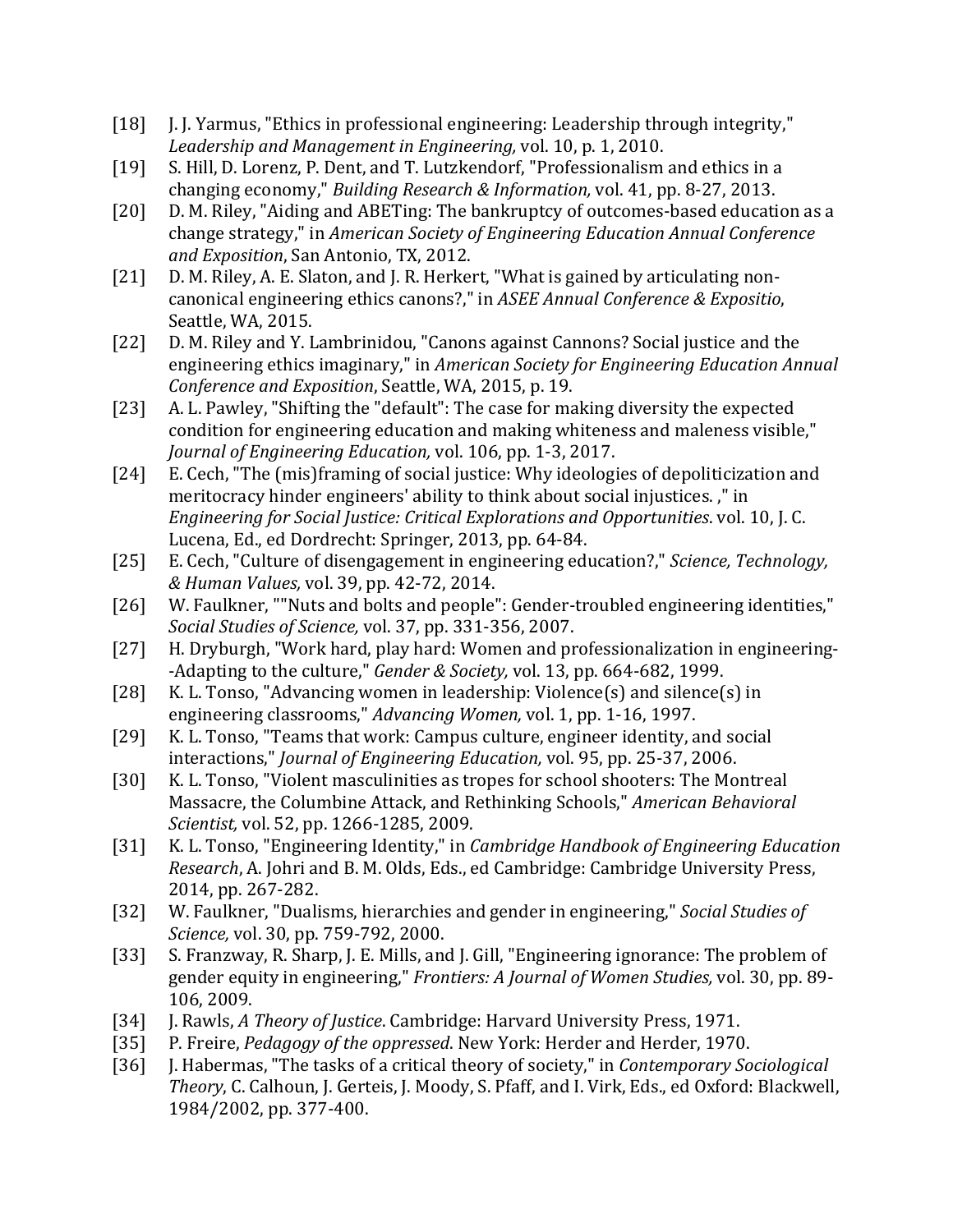- [18] J. J. Yarmus, "Ethics in professional engineering: Leadership through integrity," Leadership and Management in Engineering, vol. 10, p. 1, 2010.
- [19] S. Hill, D. Lorenz, P. Dent, and T. Lutzkendorf, "Professionalism and ethics in a changing economy," *Building Research & Information, vol.* 41, pp. 8-27, 2013.
- [20] D. M. Riley, "Aiding and ABETing: The bankruptcy of outcomes-based education as a change strategy," in *American Society of Engineering Education Annual Conference and Exposition*, San Antonio, TX, 2012.
- [21] D. M. Riley, A. E. Slaton, and J. R. Herkert, "What is gained by articulating noncanonical engineering ethics canons?," in *ASEE Annual Conference & Expositio*, Seattle, WA, 2015.
- [22] D. M. Riley and Y. Lambrinidou, "Canons against Cannons? Social justice and the engineering ethics imaginary," in *American Society for Engineering Education Annual Conference and Exposition*, Seattle, WA, 2015, p. 19.
- [23] A. L. Pawley, "Shifting the "default": The case for making diversity the expected condition for engineering education and making whiteness and maleness visible," *Journal of Engineering Education, vol.* 106, pp. 1-3, 2017.
- [24] E. Cech, "The (mis)framing of social justice: Why ideologies of depoliticization and meritocracy hinder engineers' ability to think about social injustices. ," in *Engineering for Social Justice: Critical Explorations and Opportunities.* vol. 10, J. C. Lucena, Ed., ed Dordrecht: Springer, 2013, pp. 64-84.
- [25] E. Cech, "Culture of disengagement in engineering education?," *Science, Technology*, *& Human Values,* vol. 39, pp. 42-72, 2014.
- [26] W. Faulkner, ""Nuts and bolts and people": Gender-troubled engineering identities," *Social Studies of Science,* vol. 37, pp. 331-356, 2007.
- [27] H. Dryburgh, "Work hard, play hard: Women and professionalization in engineering--Adapting to the culture," *Gender & Society*, vol. 13, pp. 664-682, 1999.
- [28] K. L. Tonso, "Advancing women in leadership: Violence(s) and silence(s) in engineering classrooms," *Advancing Women,* vol. 1, pp. 1-16, 1997.
- [29] K. L. Tonso, "Teams that work: Campus culture, engineer identity, and social interactions," *Journal of Engineering Education*, vol. 95, pp. 25-37, 2006.
- [30] K. L. Tonso, "Violent masculinities as tropes for school shooters: The Montreal Massacre, the Columbine Attack, and Rethinking Schools," *American Behavioral Scientist, vol.* 52, pp. 1266-1285, 2009.
- [31] K. L. Tonso, "Engineering Identity," in *Cambridge Handbook of Engineering Education Research*, A. Johri and B. M. Olds, Eds., ed Cambridge: Cambridge University Press, 2014, pp. 267-282.
- [32] W. Faulkner, "Dualisms, hierarchies and gender in engineering," *Social Studies of Science, vol.* 30, pp. 759-792, 2000.
- [33] S. Franzway, R. Sharp, J. E. Mills, and J. Gill, "Engineering ignorance: The problem of gender equity in engineering," *Frontiers: A Journal of Women Studies*, vol. 30, pp. 89-106, 2009.
- [34] J. Rawls, *A Theory of Justice*. Cambridge: Harvard University Press, 1971.
- [35] P. Freire, *Pedagogy of the oppressed*. New York: Herder and Herder, 1970.
- [36] J. Habermas, "The tasks of a critical theory of society," in *Contemporary Sociological Theory*, C. Calhoun, J. Gerteis, J. Moody, S. Pfaff, and I. Virk, Eds., ed Oxford: Blackwell, 1984/2002, pp. 377-400.